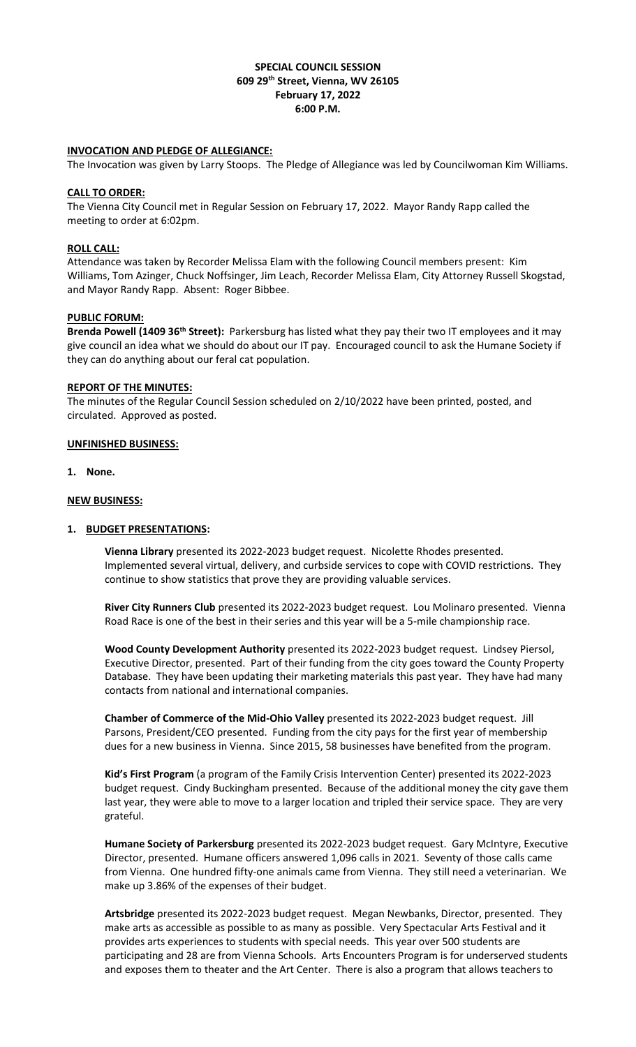# **SPECIAL COUNCIL SESSION 609 29th Street, Vienna, WV 26105 February 17, 2022 6:00 P.M.**

## **INVOCATION AND PLEDGE OF ALLEGIANCE:**

The Invocation was given by Larry Stoops. The Pledge of Allegiance was led by Councilwoman Kim Williams.

#### **CALL TO ORDER:**

The Vienna City Council met in Regular Session on February 17, 2022. Mayor Randy Rapp called the meeting to order at 6:02pm.

### **ROLL CALL:**

Attendance was taken by Recorder Melissa Elam with the following Council members present: Kim Williams, Tom Azinger, Chuck Noffsinger, Jim Leach, Recorder Melissa Elam, City Attorney Russell Skogstad, and Mayor Randy Rapp. Absent: Roger Bibbee.

#### **PUBLIC FORUM:**

**Brenda Powell (1409 36th Street):** Parkersburg has listed what they pay their two IT employees and it may give council an idea what we should do about our IT pay. Encouraged council to ask the Humane Society if they can do anything about our feral cat population.

#### **REPORT OF THE MINUTES:**

The minutes of the Regular Council Session scheduled on 2/10/2022 have been printed, posted, and circulated. Approved as posted.

#### **UNFINISHED BUSINESS:**

**1. None.**

#### **NEW BUSINESS:**

## **1. BUDGET PRESENTATIONS:**

**Vienna Library** presented its 2022-2023 budget request. Nicolette Rhodes presented. Implemented several virtual, delivery, and curbside services to cope with COVID restrictions. They continue to show statistics that prove they are providing valuable services.

**River City Runners Club** presented its 2022-2023 budget request. Lou Molinaro presented. Vienna Road Race is one of the best in their series and this year will be a 5-mile championship race.

**Wood County Development Authority** presented its 2022-2023 budget request. Lindsey Piersol, Executive Director, presented. Part of their funding from the city goes toward the County Property Database. They have been updating their marketing materials this past year. They have had many contacts from national and international companies.

**Chamber of Commerce of the Mid-Ohio Valley** presented its 2022-2023 budget request. Jill Parsons, President/CEO presented. Funding from the city pays for the first year of membership dues for a new business in Vienna. Since 2015, 58 businesses have benefited from the program.

**Kid's First Program** (a program of the Family Crisis Intervention Center) presented its 2022-2023 budget request. Cindy Buckingham presented. Because of the additional money the city gave them last year, they were able to move to a larger location and tripled their service space. They are very grateful.

**Humane Society of Parkersburg** presented its 2022-2023 budget request. Gary McIntyre, Executive Director, presented. Humane officers answered 1,096 calls in 2021. Seventy of those calls came from Vienna. One hundred fifty-one animals came from Vienna. They still need a veterinarian. We make up 3.86% of the expenses of their budget.

**Artsbridge** presented its 2022-2023 budget request. Megan Newbanks, Director, presented. They make arts as accessible as possible to as many as possible. Very Spectacular Arts Festival and it provides arts experiences to students with special needs. This year over 500 students are participating and 28 are from Vienna Schools. Arts Encounters Program is for underserved students and exposes them to theater and the Art Center. There is also a program that allows teachers to